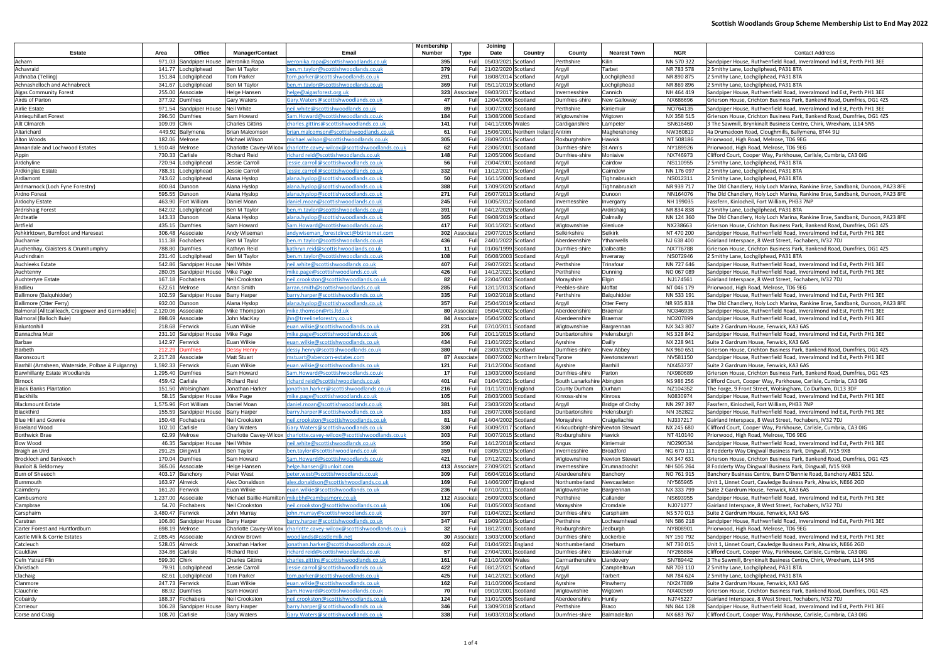|                                                   |                    |                                    |                                                 |                                                                                          | Membership  |                   | Joining                                    |                                    |                                                     |                              |                          |                                                                                                                                                  |
|---------------------------------------------------|--------------------|------------------------------------|-------------------------------------------------|------------------------------------------------------------------------------------------|-------------|-------------------|--------------------------------------------|------------------------------------|-----------------------------------------------------|------------------------------|--------------------------|--------------------------------------------------------------------------------------------------------------------------------------------------|
| Estate                                            | Area               | Office                             | <b>Manager/Contact</b>                          | Email                                                                                    | Number      | Type              | Date                                       | Country                            | County                                              | <b>Nearest Town</b>          | <b>NGR</b>               | <b>Contact Address</b>                                                                                                                           |
| Acharn                                            | 971.03             | Sandpiper House                    | Weronika Rapa                                   | veronika.rapa@scottishwoodlands.co.uk                                                    | 395         | Full              | 05/03/2021 Scotland                        |                                    | Perthshire                                          | Kilin                        | NN 570 322               | Sandpiper House, Ruthvenfield Road, Inveralmond Ind Est, Perth PH1 3EE                                                                           |
| Achavraid                                         | 141.77<br>151.84   | Lochgilphead                       | Ben M Taylor                                    | oen.m.taylor@scottishwoodlands.co.uk                                                     | 379         | Full<br>Full      | 21/02/2020 Scotland                        |                                    | Argyll                                              | Tarbet                       | NR 783 578               | 2 Smithy Lane, Lochgilphead, PA31 8TA                                                                                                            |
| Achnaba (Telling)<br>Achnashelloch and Achnabreck | 341.67             | _ochgilphead<br>Lochgilphead       | Tom Parker<br>Ben M Taylor                      | :om.parker@scottishwoodlands.co.uk<br>ben.m.taylor@scottishwoodlands.co.u                | 291<br>369  | Full              | 18/08/2014 Scotland<br>05/11/2019 Scotland |                                    | Argyll<br>Argyll                                    | Lochgilphead<br>Lochgilphead | NR 890 875<br>NR 869 896 | 2 Smithy Lane, Lochgilphead, PA31 8TA<br>2 Smithy Lane, Lochgilphead, PA31 8TA                                                                   |
| <b>Aigas Community Forest</b>                     | 255.00             | Associate                          | <b>Helge Hansen</b>                             | nelge@aigasforest.org.uk                                                                 |             | 323 Associate     | 09/03/2017 Scotland                        |                                    | Invernesshire                                       | Cannich                      | NH 464 419               | Sandpiper House, Ruthvenfield Road, Inveralmond Ind Est, Perth PH1 3EE                                                                           |
| Airds of Parton                                   | 377.92             | Dumfries                           | <b>Gary Waters</b>                              | <u> Gary. Waters@scottishwoodlands.co.ul</u>                                             | 47          | Full              | 12/04/2006 Scotland                        |                                    | Dumfries-shir                                       | New Galloway                 | NX686696                 | Grierson House, Crichton Business Park, Bankend Road, Dumfries, DG1 4ZS                                                                          |
| Airlie Estate                                     | 971.54             | Sandpiper House                    | <b>Neil White</b>                               | neil.white@scottishwoodlands.co.ul                                                       | 89          | Full              | 30/07/2002 Scotland                        |                                    | Perthshire                                          | Kirriemuir                   | NO764135                 | Sandpiper House, Ruthvenfield Road, Inveralmond Ind Est, Perth PH1 3EE                                                                           |
| Airriequhillart Forest                            |                    | 296.50 Dumfries                    | Sam Howard                                      | Sam.Howard@scottishwoodlands.co.uk                                                       | 184         | Full              | 13/08/2008 Scotland                        |                                    | Wigtownshire                                        | Wigtown                      | NX 358 515               | Grierson House, Crichton Business Park, Bankend Road, Dumfries, DG1 4ZS                                                                          |
| Allt Olmarch                                      | 109.09             | Chirk                              | <b>Charles Gittins</b>                          | <u>charles.gittins@scottishwoodlands.co.uk</u>                                           | 141         | Full              | 04/11/2005 Wales                           |                                    | Cardiganshire                                       | Lampeter                     | SN616460                 | 3 The Sawmill, Brynkinalt Business Centre, Chirk, Wrexham, LL14 5NS                                                                              |
| Altarichard                                       |                    | 449.92 Ballymena                   | <b>Brian Malcomson</b>                          | prian.malcomson@scottishwoodlands.co.uk                                                  | 61          | Full<br>Full      |                                            | 15/06/2001 Northern Ireland Antrim |                                                     | Magherahoney                 | NW360819                 | 4a Drumadoon Road, Cloughmills, Ballymena, BT44 9LJ                                                                                              |
| Alton Woods<br>Annandale and Lochwood Estates     | 182.06<br>1,910.48 | Melrose<br>Melrose                 | Michael Wilson<br><b>Charlotte Cavey-Wilcox</b> | nichael.wilson@scottishwoodlands.co.uk<br>charlotte.cavey-wilcox@scottishwoodlands.co.uk | 305<br>62   | Full              | 28/09/2015 Scotland<br>22/06/2001          | Scotland                           | Roxburghshire<br>Dumfries-shir                      | Hawick<br>St Ann's           | NT 508186<br>NY189926    | Priorwood, High Road, Melrose, TD6 9EG<br>Priorwood, High Road, Melrose, TD6 9EG                                                                 |
| Appin                                             | 730.33             | Carlisle                           | <b>Richard Reid</b>                             | <u>ichard reid@scottishwoodlands.co.uk</u>                                               | 148         | Full              | 12/05/2006 Scotland                        |                                    | Dumfries-shire                                      | Moniaive                     | NX746973                 | Clifford Court, Cooper Way, Parkhouse, Carlisle, Cumbria, CA3 0JG                                                                                |
| Ardchyline                                        | 720.94             | _ochgilphead                       | Jessie Carroll                                  | Jessie.carroll@scottishwoodlands.co.uk                                                   | 56          | Full              | 20/04/2001 Scotland                        |                                    | Argyll                                              | Cairdow                      | NS110955                 | 2 Smithy Lane, Lochgilphead, PA31 8TA                                                                                                            |
| Ardkinglas Estate                                 | 788.31             | Lochgilphead                       | Jessie Carroll                                  | Jessie.carroll@scottishwoodlands.co.ul                                                   | 332         | Full              | 11/12/2017 Scotland                        |                                    | Argyll                                              | Cairndow                     | NN 176 097               | 2 Smithy Lane, Lochgilphead, PA31 8TA                                                                                                            |
| Ardlamont                                         | 743.62             | Lochgilphead                       | Alana Hyslop                                    | alana.hyslop@scottishwoodlands.co.ul                                                     | 50          | Full              | 16/11/2000 Scotland                        |                                    | Argyll                                              | Tighnabruaich                | NS012311                 | 2 Smithy Lane, Lochgilphead, PA31 8TA                                                                                                            |
| Ardmarnock (Loch Fyne Forestry)                   | 800.84             | Dunoon                             | Alana Hyslop                                    | alana.hyslop@scottishwoodlands.co.uk                                                     | 388         | Full              | 17/09/2020 Scotland                        |                                    | Argyll                                              | Tighnabruaich                | NR 939 717               | The Old Chandlery, Holy Loch Marina, Rankine Brae, Sandbank, Dunoon, PA23 8FE                                                                    |
| Ardno Forest                                      | 595.55<br>463.90   | Dunoon                             | Alana Hyslop<br>Daniel Moan                     | alana.hyslop@scottishwoodlands.co.uk<br>daniel.moan@scottishwoodlands.co.uk              | 271<br>245  | Full<br>Full      | 26/07/201<br>10/05/2012 Scotland           | Scotland                           | Argyll                                              | Dunoon                       | NN164076<br>NH 199035    | The Old Chandlery, Holy Loch Marina, Rankine Brae, Sandbank, Dunoon, PA23 8FE                                                                    |
| Ardochy Estate<br>Ardrishaig Forest               | 842.02             | Fort William<br>Lochgilphead       | Ben M Taylor                                    | en.m.taylor@scottishwoodlands.co.ul                                                      | 391         | Full              | 04/12/2020 Scotland                        |                                    | Invernesshire<br>Argyll                             | Invergarry<br>Ardrishaig     | NR 834 838               | Fassfern, Kinlocheil, Fort William, PH33 7NP<br>2 Smithy Lane, Lochgilphead, PA31 8TA                                                            |
| Ardteatle                                         |                    | 143.33 Dunoon                      | Alana Hyslop                                    | alana.hyslop@scottishwoodlands.co.ul                                                     | 365         | Full              | 09/08/2019 Scotland                        |                                    | Argyll                                              | Dalmally                     | NN 124 360               | The Old Chandlery, Holy Loch Marina, Rankine Brae, Sandbank, Dunoon, PA23 8FE                                                                    |
| Artfield                                          |                    | 435.15 Dumfries                    | Sam Howard                                      | Sam.Howard@scottishwoodlands.co.ul                                                       | 417         | Full              | 30/11/2021 Scotland                        |                                    | Wigtownshire                                        | Glenluce                     | NX238663                 | Grierson House, Crichton Business Park, Bankend Road, Dumfries, DG1 4ZS                                                                          |
| Ashkirktown, Burnfoot and Hareseat                | 306.48             | Associate                          | Andy Wiseman                                    | andywiseman forestdirect@btinternet.com                                                  |             | 302 Associate     | 29/07/2015 Scotland                        |                                    | Selkirkshire                                        | Selkirk                      | NT 470 200               | Sandpiper House, Ruthvenfield Road, Inveralmond Ind Est, Perth PH1 3EE                                                                           |
| Aucharnie                                         | 111.38             | Fochabers                          | Ben M Taylor                                    | oen.m.taylor@scottishwoodlands.co.ul                                                     | 436         | Full              | 24/01/2022 Scotland                        |                                    | Aberdeenshire                                       | <b>fhanwells</b>             | NJ 638 400               | Gairland Interspace, 8 West Street, Fochabers, IV32 7DJ                                                                                          |
| Auchenhay, Glaisters & Drumhumphry                | 788.80             | Dumfries                           | Kathryn Reid                                    | kathryn.reid@scottishwoodlands.co.ul                                                     | 11          | Full              | 01/06/1999 Scotland                        |                                    | Dumfries-shire                                      | Dalbeattie                   | NX776788                 | Grierson House, Crichton Business Park, Bankend Road, Dumfries, DG1 4ZS                                                                          |
| Auchindrain<br>Auchleeks Estate                   | 231.40<br>542.86   | _ochgilphead                       | Ben M Taylor<br><b>Neil White</b>               | ben.m.taylor@scottishwoodlands.co.u<br>neil.white@scottishwoodlands.co.uk                | 108<br>407  | Full<br>Full      | 06/08/2003 Scotland<br>29/07/2021 Scotland |                                    | Argyll<br>Perthshire                                | Inveraray<br>Trinafou        | NS072946<br>NN 727 646   | 2 Smithy Lane, Lochgilphead, PA31 8TA                                                                                                            |
| Auchtenny                                         | 280.05             | Sandpiper House<br>Sandpiper House | Mike Page                                       | mike.page@scottishwoodlands.co.uk                                                        | 426         | Full              | 14/12/2021 Scotland                        |                                    | Perthshire                                          | Dunning                      | NO 067 089               | Sandpiper House, Ruthvenfield Road, Inveralmond Ind Est, Perth PH1 3EE<br>Sandpiper House, Ruthvenfield Road, Inveralmond Ind Est, Perth PH1 3EE |
| <b>Auchtertyre Estate</b>                         | 167.18             | Fochabers                          | <b>Neil Crookston</b>                           | <u>neil.crookston@scottishwoodlands.co.ul</u>                                            | 82          | Full              | 22/04/2002 Scotland                        |                                    | Morayshire                                          | Elgin                        | NJ174561                 | Gairland Interspace, 8 West Street, Fochabers, IV32 7DJ                                                                                          |
| Badlieu                                           | 622.61             | Melrose                            | <b>Arran Smith</b>                              | rran.smith@scottishwoodlands.co.ul                                                       | 285         | Full              | 12/11/2013 Scotland                        |                                    | Peebles-shire                                       | Moffat                       | NT 046 179               | Priorwood, High Road, Melrose, TD6 9EG                                                                                                           |
| Ballimore (Balquhidder)                           |                    | 102.59 Sandpiper House             | <b>Barry Harper</b>                             | barry.harper@scottishwoodlands.co.uk                                                     | 335         | Full              | 19/02/2018 Scotland                        |                                    | Perthshire                                          | Balquhidder                  | NN 533 191               | Sandpiper House, Ruthvenfield Road, Inveralmond Ind Est, Perth PH1 3EE                                                                           |
| Ballimore (Otter Ferry)                           | 932.00             | Dunoon                             | Alana Hyslop                                    | alana.hyslop@scottishwoodlands.co.uk                                                     | 357         | Full              | 25/04/2019 Scotland                        |                                    | Argyll                                              | Otter Ferry                  | NR 935 838               | The Old Chandlery, Holy Loch Marina, Rankine Brae, Sandbank, Dunoon, PA23 8FE                                                                    |
| Balmoral (Alltcailleach, Craigower and Garmaddie) | 2,120.06           | Associate                          | Mike Thompson                                   | mike.thomson@rts.ltd.uk                                                                  | 80          | Associate         | 05/04/2002 Scotland                        |                                    | Aberdeenshire                                       | <b>Braemar</b>               | NO346935                 | Sandpiper House, Ruthvenfield Road, Inveralmond Ind Est, Perth PH1 3EE                                                                           |
| Balmoral (Balloch Buie)<br>Baluntonhill           | 898.69<br>218.68   | Associate<br>Fenwick               | John MacKay<br>Euan Wilkie                      | hn@treelineforestry.co.uk<br>euan.wilkie@scottishwoodlands.co.uk                         | 84 I<br>231 | Associate<br>Full | 05/04/2002 Scotland<br>07/10/2011          | Scotland                           | Aberdeenshire<br>Wigtownshire                       | Braemar<br>Bargrennan        | NO207899<br>NX 343 807   | Sandpiper House, Ruthvenfield Road, Inveralmond Ind Est, Perth PH1 3EE<br>Suite 2 Gardrum House, Fenwick, KA3 6AS                                |
| Bannachra Muir                                    | 231.10             | Sandpiper House                    | Mike Page                                       | mike.page@scottishwoodlands.co.uk                                                        | 306         | Full              | 20/11/2015 Scotland                        |                                    | Dunbartonshire                                      | Helensburgh                  | NS 328 842               | Sandpiper House, Ruthvenfield Road, Inveralmond Ind Est, Perth PH1 3EE                                                                           |
| Barbae                                            | 142.97             | Fenwick                            | Euan Wilkie                                     | uan.wilkie@scottishwoodlands.co.uk                                                       | 434         | Full              | 21/01/2022 Scotland                        |                                    | Ayrshire                                            | Dailly                       | NX 228 941               | Suite 2 Gardrum House, Fenwick, KA3 6AS                                                                                                          |
| Barbeth                                           | 212.29             | <b>Jumfries</b>                    | )essy Henry                                     | dessy.henry@scottishwoodlands.co.uk                                                      | 380         | Full              | 23/03/2020 Scotland                        |                                    | Dumfries-shire                                      | New Abbey                    | NX 960 651               | Grierson House, Crichton Business Park, Bankend Road, Dumfries, DG1 42S                                                                          |
| Baronscourt                                       | 2,217.28           | Associate                          | <b>Matt Stuart</b>                              | mstuart@abercorn-estates.com                                                             |             | 87 Associate      |                                            | 08/07/2002 Northern Ireland Tyrone |                                                     | Newtonstewart                | NV581150                 | Sandpiper House, Ruthvenfield Road, Inveralmond Ind Est, Perth PH1 3EE                                                                           |
| Barrhill (Arnsheen, Waterside, Polbae & Pulganny) | 1,592.33           | Fenwick                            | Euan Wilkie                                     | uan.wilkie@scottishwoodlands.co.uk                                                       | 121         | Full              | 21/12/2004 Scotland                        |                                    | Ayrshire                                            | Barrhill                     | NX453737                 | Suite 2 Gardrum House, Fenwick, KA3 6AS                                                                                                          |
| <b>Barwhillanty Estate Woodlands</b><br>Birnock   | 1,295.40           | <b>Dumfries</b><br>459.42 Carlisle | Sam Howard<br><b>Richard Reid</b>               | am.Howard@scottishwoodlands.co.ul<br>richard reid@scottishwoodlands.co.uk                | 17<br>401   | Full<br>Full      | 13/03/2000 Scotland<br>01/04/2021 Scotland |                                    | Dumfries-shire<br>South Lanarkshire Abington        | Parton                       | NX980689<br>NS 986 256   | Grierson House, Crichton Business Park, Bankend Road, Dumfries, DG1 4ZS<br>Clifford Court, Cooper Way, Parkhouse, Carlisle, Cumbria, CA3 0JG     |
| <b>Black Banks Plantation</b>                     | 151.50             | Wolsingham                         | Jonathan Harker                                 | jonathan.harker@scottishwoodlands.co.uk                                                  | 216         | Full              | 01/11/2010 England                         |                                    | County Durham                                       | Durham                       | NZ104352                 | The Forge, 9 Front Street, Wolsingham, Co Durham, DL13 3DF                                                                                       |
| <b>Blackhills</b>                                 |                    | 58.15 Sandpiper House Mike Page    |                                                 | mike.page@scottishwoodlands.co.uk                                                        | 105         |                   | Full 28/03/2003 Scotland                   |                                    | Kinross-shire                                       | Kinross                      | N0830974                 | Sandpiper House, Ruthvenfield Road, Inveralmond Ind Est, Perth PH1 3EE                                                                           |
| <b>Blackmount Estate</b>                          |                    | 1,575.96 Fort William              | Daniel Moan                                     | daniel.moan@scottishwoodlands.co.uk                                                      | 381         | Full              | 23/03/2020 Scotland                        |                                    | Argyll                                              | Bridge of Orchy              | NN 297 397               | Fassfern, Kinlocheil, Fort William, PH33 7NP                                                                                                     |
| Blackthird                                        | 155.59             | Sandpiper House                    | <b>Barry Harper</b>                             | barry.harper@scottishwoodlands.co.uk                                                     | 183         | Full              | 28/07/2008 Scotland                        |                                    | Dunbartonshire                                      | Helensburgh                  | NN 352822                | Sandpiper House, Ruthvenfield Road, Inveralmond Ind Est, Perth PH1 3EE                                                                           |
| <b>Blue Hill and Gownie</b>                       | 150.48             | Fochabers                          | Neil Crookston                                  | neil.crookston@scottishwoodlands.co.uk                                                   | 81          | Full              | 14/04/2002 Scotland                        |                                    | Morayshire                                          | Craigellachie                | NJ337217                 | Gairland Interspace, 8 West Street, Fochabers, IV32 7DJ                                                                                          |
| <b>Boreland Wood</b><br><b>Borthwick Brae</b>     |                    | 102.10 Carlisle<br>62.99 Melrose   | <b>Gary Waters</b><br>Charlotte Cavey-Wilcox    | Gary.Waters@scottishwoodlands.co.uk<br>charlotte.cavey-wilcox@scottishwoodlands.co.uk    | 330<br>303  | Full<br>Full      | 30/09/2017 Scotland<br>30/07/2015 Scotland |                                    | Kirkcudbright-shire Newton Stewart<br>Roxburghshire | Hawick                       | NX 245 680<br>NT 410140  | Clifford Court, Cooper Way, Parkhouse, Carlisle, Cumbria, CA3 0JG<br>Priorwood, High Road, Melrose, TD6 9EG                                      |
| <b>Bow Wood</b>                                   |                    | 46.35 Sandpiper House              | <b>Neil White</b>                               | neil.white@scottishwoodlands.co.uk                                                       | 350         | Full              | 14/12/2018 Scotland                        |                                    | Angus                                               | Kirriemuir                   | NO290534                 | Sandpiper House, Ruthvenfield Road, Inveralmond Ind Est, Perth PH1 3EE                                                                           |
| Braigh an Uird                                    |                    | 291.25 Dingwall                    | Ben Taylor                                      | en.taylor@scottishwoodlands.co.uk                                                        | 359         | Full              | 03/05/2019 Scotland                        |                                    | Invernesshire                                       | <b>Broadford</b>             | NG 670 111               | 8 Fodderty Way Dingwall Business Park, Dingwall, IV15 9XB                                                                                        |
| Brockloch and Barskeoch                           |                    | 170.04 Dumfries                    | Sam Howard                                      | Sam.Howard@scottishwoodlands.co.uk                                                       | 421         | Full              | 07/12/2021 Scotland                        |                                    | Wigtownshire                                        | Newton Stewart               | NX 347 631               | Grierson House, Crichton Business Park, Bankend Road, Dumfries, DG1 4ZS                                                                          |
| <b>Bunloit &amp; Beldorney</b>                    | 365.06             | Associate                          | Helge Hansen                                    | helge.hansen@bunloit.com                                                                 |             | 413 Associate     | 27/09/2021 Scotland                        |                                    | Invernesshire                                       | Drumnadrochit                | NH 505 264               | 8 Fodderty Way Dingwall Business Park, Dingwall, IV15 9XB                                                                                        |
| Burn of Sheeoch                                   | 403.17             | Banchory                           | Peter West                                      | 0eter.west@scottishwoodlands.co.uk                                                       | 309         | Full              | 06/04/2016 Scotland                        |                                    | Aberdeenshire                                       | Banchory                     | NO 761 915               | Banchory Business Centre, Burn O'Bennie Road, Banchory AB31 5ZU.                                                                                 |
| <b>Burnmouth</b><br>Cairnderry                    | 163.97             | Alnwick<br>161.20 Fenwick          | Alex Donaldson<br>Euan Wilkie                   | alex.donaldson@scottishwoodlands.co.uk                                                   | 169<br>236  | Full<br>Full      | 14/06/2007 England<br>07/10/2011 Scotland  |                                    | Northumberland                                      | Newcastleton                 | NY565965<br>NX 333 799   | Unit 1, Linnet Court, Cawledge Business Park, Alnwick, NE66 2GD<br>Suite 2 Gardrum House, Fenwick, KA3 6AS                                       |
| Cambusmore                                        | 1,237.00           | Associate                          |                                                 | euan.wilkie@scottishwoodlands.co.uk<br>Michael Baillie-Hamilton mikebh@cambusmore.co.uk  |             | 112 Associate     | 26/09/2003 Scotland                        |                                    | Wigtownshire<br>Perthshire                          | Bargrennan<br>Callander      | NS693955                 | Sandpiper House, Ruthvenfield Road, Inveralmond Ind Est, Perth PH1 3EE                                                                           |
| Campbrae                                          |                    | 54.70 Fochabers                    | <b>Neil Crookston</b>                           | neil.crookston@scottishwoodlands.co.uk                                                   | 106         | Full              | 01/05/2003 Scotland                        |                                    | Morayshire                                          | Cromdale                     | NJ071277                 | Gairland Interspace, 8 West Street, Fochabers, IV32 7DJ                                                                                          |
| Carsphairn                                        | 3,480.47           | Fenwick                            | John Murray                                     | ohn.murray@scottishwoodlands.co.uk                                                       | 397         | Full              | 01/04/2021 Scotland                        |                                    | Dumfries-shir                                       | Carsphairn                   | NS 570 013               | Suite 2 Gardrum House, Fenwick, KA3 6AS                                                                                                          |
| Carstran                                          |                    | 106.80 Sandpiper House             | <b>Barry Harper</b>                             | barry.harper@scottishwoodlands.co.uk                                                     | 347         | Full              | 19/09/2018 Scotland                        |                                    | Perthshire                                          | Lochearnhead                 | NN 586 218               | Sandpiper House, Ruthvenfield Road, Inveralmond Ind Est, Perth PH1 3EE                                                                           |
| Carter Forest and Huntfordburn                    | 698.19             | Melrose                            | Charlotte Cavey-Wilcox                          | charlotte.cavey-wilcox@scottishwoodlands.co.uk                                           | 32          | Full              | 18/12/2001 Scotland                        |                                    | Roxburghshire                                       | Jedburgh                     | NY808901                 | Priorwood, High Road, Melrose, TD6 9EG                                                                                                           |
| Castle Milk & Corrie Estates                      |                    | 2,085.45 Associate                 | Andrew Brown                                    | woodlands@castlemilk.net                                                                 |             | 30 Associate      | 13/03/2000 Scotland                        |                                    | Dumfries-shire                                      | Lockerbie                    | NY 150 792               | Sandpiper House, Ruthvenfield Road, Inveralmond Ind Est, Perth PH1 3EE                                                                           |
| Catcleuch<br>Cauldlaw                             |                    | 528.05 Alnwick<br>334.86 Carlisle  | Jonathan Harker<br><b>Richard Reid</b>          | onathan.harker@scottishwoodlands.co.uk<br>richard reid@scottishwoodlands.co.uk           | 402<br>57   | Full<br>Full      | 01/04/2021 England<br>27/04/2001 Scotland  |                                    | Northumberland<br>Dumfries-shire                    | Otterburn<br>Eskdalemuir     | NT 730 015<br>NY265884   | Unit 1, Linnet Court, Cawledge Business Park, Alnwick, NE66 2GD<br>Clifford Court, Cooper Way, Parkhouse, Carlisle, Cumbria, CA3 0JG             |
| Cefn Ystrad Ffin                                  | 599.30 Chirk       |                                    | <b>Charles Gittins</b>                          | charles.gittins@scottishwoodlands.co.uk                                                  | 161         | Full              | 31/10/2008 Wales                           |                                    | Carmarthenshire                                     | Llandovery                   | SN789442                 | 3 The Sawmill, Brynkinalt Business Centre, Chirk, Wrexham, LL14 5NS                                                                              |
| Christlach                                        | 79.91              | Lochgilphead                       | Jessie Carroll                                  | essie.carroll@scottishwoodlands.co.uk                                                    | 422         | Full              | 08/12/2021 Scotland                        |                                    | Argyll                                              | Campbeltown                  | NR 703 110               | 2 Smithy Lane, Lochgilphead, PA31 8TA                                                                                                            |
| Clachaig                                          | 82.61              | Lochgilphead                       | <b>Tom Parker</b>                               | tom.parker@scottishwoodlands.co.uk                                                       | 425         | Full              | 14/12/2021 Scotland                        |                                    | Argyll                                              | Tarbert                      | NR 784 624               | 2 Smithy Lane, Lochgilphead, PA31 8TA                                                                                                            |
| Clanmore                                          |                    | 247.73 Fenwick                     | Euan Wilkie                                     | <u>euan.wilkie@scottishwoodlands.co.uk</u>                                               | 162         | Full              | 31/10/2006 Scotland                        |                                    | Ayrshire                                            | Pinwherry                    | NX247889                 | Suite 2 Gardrum House, Fenwick, KA3 6AS                                                                                                          |
| Clauchrie                                         |                    | 88.92 Dumfries                     | Sam Howard                                      | Sam.Howard@scottishwoodlands.co.uk                                                       | 70          | Full              | 09/10/2001 Scotland                        |                                    | Wigtownshire                                        | Wigtown                      | NX402569                 | Grierson House, Crichton Business Park, Bankend Road, Dumfries, DG1 4ZS                                                                          |
| Cobairdy<br>Corrieour                             | 188.37<br>106.28   | Fochabers<br>Sandpiper House       | Neil Crookston<br><b>Barry Harper</b>           | neil.crookston@scottishwoodlands.co.uk<br>arry.harper@scottishwoodlands.co.uk            | 124<br>346  | Full<br>Full      | 31/01/2005 Scotland<br>13/09/2018 Scotland |                                    | Aberdeenshire<br>Perthshire                         | Huntly<br>Braco              | NJ745227<br>NN 844 128   | Gairland Interspace, 8 West Street, Fochabers, IV32 7DJ<br>Sandpiper House, Ruthvenfield Road, Inveralmond Ind Est, Perth PH1 3EE                |
| Corse and Craig                                   | 108.70 Carlisle    |                                    | <b>Gary Waters</b>                              | Gary. Waters@scottishwoodlands.co.uk                                                     | 338         | Full              | 16/03/2018 Scotland                        |                                    | Dumfries-shire                                      | Balmaclellan                 | NX 683 767               | Clifford Court, Cooper Way, Parkhouse, Carlisle, Cumbria, CA3 0JG                                                                                |
|                                                   |                    |                                    |                                                 |                                                                                          |             |                   |                                            |                                    |                                                     |                              |                          |                                                                                                                                                  |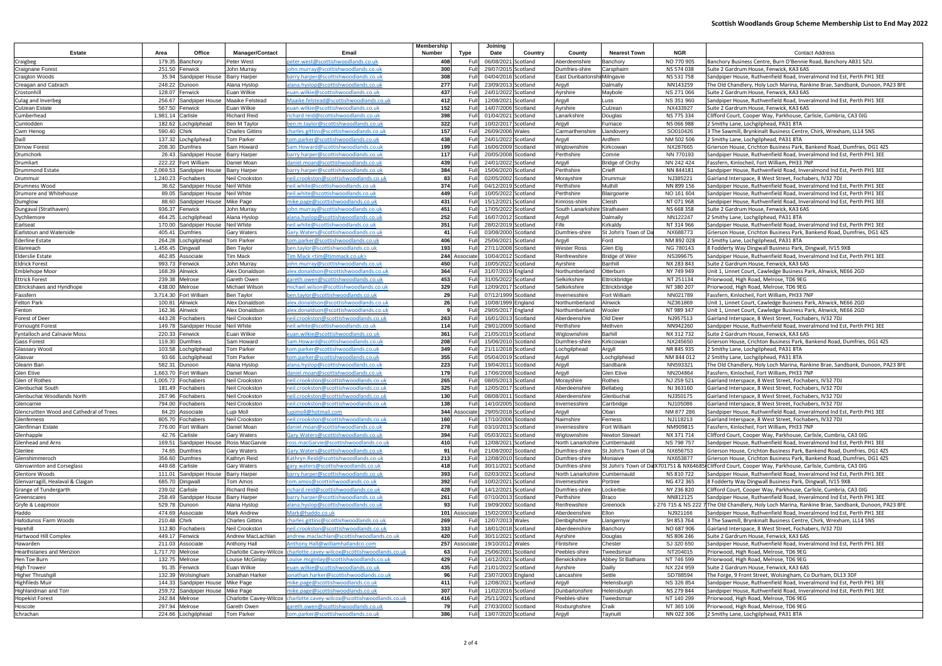| <b>Estate</b>                                          | Area                        | Office                               | <b>Manager/Contact</b>               | Email                                                                                        | Membership<br>Number | Type           | Joining<br>Date                            | Country              | County                       | <b>Nearest Town</b>    | <b>NGR</b>              | <b>Contact Address</b>                                                                                                              |
|--------------------------------------------------------|-----------------------------|--------------------------------------|--------------------------------------|----------------------------------------------------------------------------------------------|----------------------|----------------|--------------------------------------------|----------------------|------------------------------|------------------------|-------------------------|-------------------------------------------------------------------------------------------------------------------------------------|
|                                                        |                             | 179.35 Banchory                      | Peter West                           | peter.west@scottishwoodlands.co.uk                                                           | 408                  | Ful            | 06/08/2021                                 | Scotland             | Aberdeenshire                | Banchory               | NO 770 905              | Banchory Business Centre, Burn O'Bennie Road, Banchory AB31 5ZU.                                                                    |
| Craigbeg<br>Craignane Forest                           | 251.50                      | Fenwick                              | John Murray                          | ohn.murray@scottishwoodlands.co.uk                                                           | 300                  | Fυ             | 29/07/2015 Scotland                        |                      | Dumfries-shire               | Carsphairn             | NS 574 038              | Suite 2 Gardrum House, Fenwick, KA3 6AS                                                                                             |
| Craigton Woods                                         |                             | 35.94 Sandpiper House                | <b>Barry Harper</b>                  | barry.harper@scottishwoodlands.co.uk                                                         | 308                  | Fu             | 04/04/2016 Scotland                        |                      | East Dunbartonshi Milngavie  |                        | NS 531 758              | Sandpiper House, Ruthvenfield Road, Inveralmond Ind Est, Perth PH1 3EE                                                              |
| Creagan and Cabrach                                    |                             | 248.22 Dunoon                        | Alana Hyslop                         | alana.hyslop@scottishwoodlands.co.u                                                          | 277                  | Ful            | 23/09/2013                                 | Scotland             | Argyll                       | Dalmally               | NN143259                | The Old Chandlery, Holy Loch Marina, Rankine Brae, Sandbank, Dunoon, PA23 8FE                                                       |
| Crostonhill                                            |                             | 128.07 Fenwick                       | Euan Wilkie                          | uan.wilkie@scottishwoodlands.co.uk                                                           | 437                  | Fu             | 24/01/2022 Scotland                        |                      | Ayrshire                     | Maybole                | NS 271 066              | Suite 2 Gardrum House, Fenwick, KA3 6AS                                                                                             |
| Culag and Inverbeg                                     |                             | 256.67 Sandpiper House               | <b>Maaike Felstead</b>               | Maaike.felstead@scottishwoodlands.co.uk                                                      | 412                  | Fu             | 12/08/2021                                 | Scotland             | Argyll                       | Luss                   | NS 351 960              | Sandpiper House, Ruthvenfield Road, Inveralmond Ind Est, Perth PH1 3EE                                                              |
| <b>Culzean Estate</b>                                  |                             | 567.50 Fenwick                       | Euan Wilkie                          | uan.wilkie@scottishwoodlands.co.ul                                                           | 152                  | Ful            | 14/07/2006                                 | Scotland             | Ayrshire                     | Culzean                | NX433927                | Suite 2 Gardrum House, Fenwick, KA3 6AS                                                                                             |
| Cumberhead                                             | 1,981.14 Carlisle           |                                      | <b>Richard Reid</b>                  | richard reid@scottishwoodlands.co.uk                                                         | 398                  | Ful            | 01/04/2021                                 | Scotland             | Lanarkshire                  | Douglas                | NS 775 334              | Clifford Court, Cooper Way, Parkhouse, Carlisle, Cumbria, CA3 0JG                                                                   |
| Cumlodden                                              |                             | 182.62 Lochgilphead                  | Ben M Taylor                         | ben.m.taylor@scottishwoodlands.co.uk                                                         | 322                  | F <sub>0</sub> | 10/02/2017                                 | Scotland             | Argyll                       | Furnace                | NS 066 988              | 2 Smithy Lane, Lochgilphead, PA31 8TA                                                                                               |
| Cwm Henog                                              | 590.40 Chirk                |                                      | <b>Charles Gittins</b>               | charles.gittins@scottishwoodlands.co.uk                                                      | 157                  | Ful            | 26/09/2006                                 | Wales                | Carmarthenshire              | Llandovery             | SO010426                | 3 The Sawmill, Brynkinalt Business Centre, Chirk, Wrexham, LL14 5NS                                                                 |
| Daill                                                  |                             | 137.32 Lochgilphead                  | <b>Tom Parker</b>                    | tom.parker@scottishwoodlands.co.ul                                                           | 438                  | Ful            | 24/01/2022                                 | Scotland             | Argyll                       | Ardfern                | NM 502 506              | 2 Smithy Lane, Lochgilphead, PA31 8TA                                                                                               |
| Dirnow Forest                                          |                             | 208.30 Dumfries                      | Sam Howard                           | Sam.Howard@scottishwoodlands.co.uk                                                           | 199                  | Fu             | 16/06/2009                                 | Scotland             | Wigtownshire                 | Kirkcowan              | NX287665                | Grierson House, Crichton Business Park, Bankend Road, Dumfries, DG1 4ZS                                                             |
| Drumchork                                              |                             | 26.43 Sandpiper House                | <b>Barry Harper</b>                  | barry.harper@scottishwoodlands.co.uk                                                         | 117                  | Fu             | 20/05/2008                                 | Scotland             | Perthshire                   | Comrie                 | NN 770193               | Sandpiper House, Ruthvenfield Road, Inveralmond Ind Est, Perth PH1 3EE                                                              |
| Drumliart                                              | 222.22                      | Fort William                         | Daniel Moan                          | daniel.moan@scottishwoodlands.co.uk                                                          | 439                  | Fu             | 24/01/2022                                 | Scotland             | Argyll                       | <b>Bridge of Orchy</b> | NN 242 424              | Fassfern, Kinlocheil, Fort William, PH33 7NP                                                                                        |
| Drummond Estate                                        | 2,069.53                    | Sandpiper House                      | <b>Barry Harper</b>                  | barry.harper@scottishwoodlands.co.uk                                                         | 384                  | Ful            | 15/06/2020                                 | Scotland             | Perthshire                   | Crieff                 | NN 844181               | Sandpiper House, Ruthvenfield Road, Inveralmond Ind Est, Perth PH1 3EE                                                              |
| Drummuir                                               | 1,240.23                    | Fochabers                            | Neil Crookston                       | neil.crookston@scottishwoodlands.co.uk                                                       | 83                   | F <sub>l</sub> | 02/05/2002                                 | Scotland             | Morayshire                   | Drummui                | NJ385221                | Gairland Interspace, 8 West Street, Fochabers, IV32 7DJ                                                                             |
| Drumness Wood                                          |                             | 36.62 Sandpiper House                | <b>Neil White</b>                    | neil.white@scottishwoodlands.co.uk                                                           | 374                  | Fu             | 04/12/2019 Scotland                        |                      | Perthshire                   | Muthill                | NN 899 156              | Sandpiper House, Ruthvenfield Road, Inveralmond Ind Est, Perth PH1 3EE                                                              |
| Drumore and Whitehouse                                 |                             | 89.05 Sandpiper House                | <b>Neil White</b>                    | neil.white@scottishwoodlands.co.ul                                                           | 449                  | Fu             | 10/05/2022                                 | Scotland             | Perthshire                   | Blairgowrie            | NO 161 604              | Sandpiper House, Ruthvenfield Road, Inveralmond Ind Est, Perth PH1 3EE                                                              |
| Dumglow                                                |                             | 88.60 Sandpiper House                | <b>Mike Page</b>                     | mike.page@scottishwoodlands.co.uk                                                            | 431                  | Ful            | 15/12/2021                                 | Scotland             | Kinross-shire                | Cleish                 | NT 071 968              | Sandpiper House, Ruthvenfield Road, Inveralmond Ind Est, Perth PH1 3EE                                                              |
| Dungaval (Strathaven)                                  | 936.37                      | Fenwick                              | John Murray                          | john.murray@scottishwoodlands.co.ul                                                          | 451                  |                | 17/05/2022 Scotland                        |                      | South Lanarkshire Strathaven |                        | NS 668 358              | Suite 2 Gardrum House, Fenwick, KA3 6AS                                                                                             |
| Dychliemore                                            |                             | 464.25 Lochgilphead                  | Alana Hyslop                         | alana.hyslop@scottishwoodlands.co.u                                                          | 252                  | Fu             | 16/07/2012                                 | Scotland             | Argyll                       | Dalmally               | NN122247                | 2 Smithy Lane, Lochgilphead, PA31 8TA                                                                                               |
| Earlseat                                               |                             | 170.00 Sandpiper House               | Neil White                           | neil.white@scottishwoodlands.co.uk                                                           | 351                  | Ful            | 28/02/2019 Scotland                        |                      | Fife                         | Kirkaldy               | NT 314 966              | Sandpiper House, Ruthvenfield Road, Inveralmond Ind Est, Perth PH1 3EE                                                              |
| <b>Earlstoun and Waterside</b>                         |                             | 405.41 Dumfries                      | <b>Gary Waters</b>                   | Gary.Waters@scottishwoodlands.co.uk<br>tom.parker@scottishwoodlands.co.ul                    | 41<br>406            | F <sub>l</sub> | 03/08/2000 Scotland                        |                      | Dumfries-shire               | St John's Town of Da   | NX688773                | Grierson House, Crichton Business Park, Bankend Road, Dumfries, DG1 4ZS                                                             |
| Ederline Estate                                        | 264.28<br>1,456.45 Dingwall | Lochgilphead                         | <b>Tom Parker</b>                    |                                                                                              | 193                  | Fu<br>Fu       | 25/06/2021<br>27/11/2008                   | Scotland             | Argyll<br><b>Wester Ross</b> | Ford<br>Glen Elg       | NM 892 028<br>NG 780143 | 2 Smithy Lane, Lochgilphead, PA31 8TA                                                                                               |
| Eilanreach<br><b>Elderslie Estate</b>                  |                             | 462.85 Associate                     | <b>Ben Taylor</b><br><b>Tim Mack</b> | <u>ben.taylor@scottishwoodlands.co.uk</u><br>im Mack <tim@timmack.co.uk></tim@timmack.co.uk> |                      | 244 Associate  | 10/04/2012                                 | Scotland<br>Scotland | Renfrewshire                 | <b>Bridge of Weir</b>  | NS399675                | 8 Fodderty Way Dingwall Business Park, Dingwall, IV15 9XB<br>Sandpiper House, Ruthvenfield Road, Inveralmond Ind Est, Perth PH1 3EE |
| <b>Eldrick Forest</b>                                  |                             | 993.73 Fenwick                       | John Murray                          | ohn.murray@scottishwoodlands.co.uk                                                           | 450                  | Fι             | 10/05/2022 Scotland                        |                      | Ayrshire                     | Barrhill               | NX 283 843              | Suite 2 Gardrum House, Fenwick, KA3 6AS                                                                                             |
| Emblehope Moor                                         |                             | 168.39 Alnwick                       | <b>Alex Donaldson</b>                | alex.donaldson@scottishwoodlands.co.uk                                                       | 364                  | Fu             | 31/07/2019                                 | England              | Northumberland               | Otterburn              | NY 749 949              | Unit 1, Linnet Court, Cawledge Business Park, Alnwick, NE66 2GD                                                                     |
| Ettrick Forest                                         |                             | 239.38 Melrose                       | <b>Gareth Owen</b>                   | gareth.owen@scottishwoodlands.co.uk                                                          | 453                  | Ful            | 31/05/2022                                 | Scotland             | Selkirkshire                 | Ettrickbridge          | NT 251134               | Priorwood, High Road, Melrose, TD6 9EG                                                                                              |
| Ettrickshaws and Hyndhope                              |                             | 438.00 Melrose                       | Michael Wilsor                       | nichael.wilson@scottishwoodlands.co.uk                                                       | 329                  | Fu             | 12/09/2017                                 | Scotland             | Selkirkshire                 | Ettrickbridge          | NT 380 207              | Priorwood, High Road, Melrose, TD6 9EG                                                                                              |
| Fassfern                                               |                             | 3,714.30 Fort William                | <b>Ben Taylor</b>                    | ben.taylor@scottishwoodlands.co.uk                                                           | 29                   | Fu             | 07/12/1999 Scotland                        |                      | Invernesshire                | Fort William           | NN021789                | Fassfern, Kinlocheil, Fort William, PH33 7NP                                                                                        |
| Felton Park                                            |                             | 100.81 Alnwick                       | Alex Donaldson                       | alex.donaldson@scottishwoodlands.co.uk                                                       | 26                   | Fu             | 10/08/1999 England                         |                      | Northumberland               | Alnwick                | NZ361869                | Unit 1, Linnet Court, Cawledge Business Park, Alnwick, NE66 2GD                                                                     |
| Fenton                                                 |                             | 162.36 Alnwick                       | <b>Alex Donaldson</b>                | alex.donaldson@scottishwoodlands.co.ul                                                       | -9                   | Ful            | 29/05/2017 England                         |                      | Northumberland               | Wooler                 | NT 989 347              | Unit 1, Linnet Court, Cawledge Business Park, Alnwick, NE66 2GD                                                                     |
| Forest of Deer                                         |                             | 443.28 Fochabers                     | <b>Neil Crookston</b>                | neil.crookston@scottishwoodlands.co.uk                                                       | 263                  | Fι             | 16/01/2013 Scotland                        |                      | Aberdeenshire                | Old Deer               | NJ957513                | Gairland Interspace, 8 West Street, Fochabers, IV32 7DJ                                                                             |
| Fornought Forest                                       |                             | 149.78 Sandpiper House               | <b>Neil White</b>                    | neil.white@scottishwoodlands.co.ul                                                           | 114                  | Ful            | 29/01/2009 Scotland                        |                      | Perthshire                   | Methven                | NN942260                | Sandpiper House, Ruthvenfield Road, Inveralmond Ind Est, Perth PH1 3EE                                                              |
| Fyntalloch and Calnavie Moss                           |                             | 220.33 Fenwick                       | Euan Wilkie                          | euan.wilkie@scottishwoodlands.co.ul                                                          | 361                  | Fu             | 21/05/2019 Scotland                        |                      | Wigtownshire                 | Barhill                | NX 312 732              | Suite 2 Gardrum House, Fenwick, KA3 6AS                                                                                             |
| Gass Forest                                            |                             | 119.30 Dumfries                      | Sam Howard                           | Sam.Howard@scottishwoodlands.co.uk                                                           | 208                  | Fu             | 15/06/2010 Scotland                        |                      | Dumfries-shire               | Kirkcowan              | NX245650                | Grierson House, Crichton Business Park, Bankend Road, Dumfries, DG1 4ZS                                                             |
| Glassary Wood                                          | 103.58                      | Lochgilphead                         | <b>Tom Parker</b>                    | tom.parker@scottishwoodlands.co.ul                                                           | 349                  | Fu             | 21/11/2018 Scotland                        |                      | Lochgilphead                 | Argyll                 | NR 845 935              | 2 Smithy Lane, Lochgilphead, PA31 8TA                                                                                               |
| Glasvar                                                | 93.66                       | Lochgilphead                         | <b>Tom Parker</b>                    | tom.parker@scottishwoodlands.co.ul                                                           | 355                  | Fu             | 05/04/2019                                 | Scotland             | Argyll                       | Lochgilphead           | NM 844 012              | 2 Smithy Lane, Lochgilphead, PA31 8TA                                                                                               |
| Gleann Ban                                             | 582.31                      | Dunoon                               | Alana Hyslop                         | alana.hyslop@scottishwoodlands.co.ul                                                         | 223                  | Fu             | 19/04/201                                  | Scotland             | Argyll                       | Sandbank               | NN593321                | The Old Chandlery, Holy Loch Marina, Rankine Brae, Sandbank, Dunoon, PA23 8FE                                                       |
| Glen Etive                                             |                             | 1,663.70 Fort William                | Daniel Moan                          | daniel.moan@scottishwoodlands.co.uk                                                          | 179                  | Fu             | 17/06/2008                                 | }cotland             | Argyll                       | <b>Glen Etive</b>      | NN204864                | Fassfern, Kinlocheil, Fort William, PH33 7NP                                                                                        |
| Glen of Rothes                                         |                             | 1,005.72 Fochabers                   | <b>Neil Crookston</b>                | neil.crookston@scottishwoodlands.co.uk                                                       | 265                  | Fu             | 08/05/2013                                 | Scotland             | Morayshire                   | Rothes                 | NJ 259 521              | Gairland Interspace, 8 West Street, Fochabers, IV32 7DJ                                                                             |
| <b>Glenbuchat South</b>                                |                             | 181.49 Fochabers                     | <b>Neil Crookston</b>                | neil.crookston@scottishwoodlands.co.uk                                                       | 325                  | Full           | 12/05/2017                                 | Scotland             | Aberdeenshire                | <b>Bellabeg</b>        | NJ 363160               | Gairland Interspace, 8 West Street, Fochabers, IV32 7DJ                                                                             |
| Glenbuchat Woodlands North                             |                             | 267.96 Fochabers<br>794.00 Fochabers | Neil Crookston                       | neil.crookston@scottishwoodlands.co.uk                                                       | 130<br>138           | Full<br>Full   | 08/08/2011 Scotland<br>14/10/2005 Scotland |                      | Aberdeenshire                | Glenbuchat             | NJ350175                | Gairland Interspace, 8 West Street, Fochabers, IV32 7DJ                                                                             |
| Glencarnie<br>Glencruitten Wood and Cathedral of Trees |                             | 84.20 Associate                      | Neil Crookston<br>Lupi Moll          | neil.crookston@scottishwoodlands.co.uk<br>upimoll@hotmail.com                                |                      | 344 Associate  | 29/05/2018 Scotland                        |                      | Invernesshire<br>Argyll      | Carrbridge<br>Oban     | NJ105086<br>NM 877 286  | Gairland Interspace, 8 West Street, Fochabers, IV32 7DJ<br>Sandpiper House, Ruthvenfield Road, Inveralmond Ind Est, Perth PH1 3EE   |
| Glenferness                                            |                             | 805.70 Fochabers                     | <b>Neil Crookston</b>                | neil.crookston@scottishwoodlands.co.uk                                                       | 160                  | Full           | 17/10/2006 Scotland                        |                      | Nairnshire                   | Ferness                | NJ118213                | Gairland Interspace, 8 West Street, Fochabers, IV32 7DJ                                                                             |
| Glenfinnan Estate                                      |                             | 776.00 Fort William                  | Daniel Moan                          | daniel.moan@scottishwoodlands.co.uk                                                          | 278                  | Fυ             | 03/10/2013 Scotland                        |                      | Invernesshire                | Fort William           | NM909815                | Fassfern, Kinlocheil, Fort William, PH33 7NP                                                                                        |
| Glenhapple                                             |                             | 42.76 Carlisle                       | <b>Gary Waters</b>                   | Gary. Waters@scottishwoodlands.co.uk                                                         | 394                  | Full           | 05/03/2021 Scotland                        |                      | Wigtownshire                 | <b>Newton Stewart</b>  | NX 371 714              | Clifford Court, Cooper Way, Parkhouse, Carlisle, Cumbria, CA3 0JG                                                                   |
| Glenhead and Arns                                      |                             | 169.51 Sandpiper House               | Ross MacGarvie                       | ross.macGarvie@scottishwoodlands.co.uk                                                       | 410                  | Ful            | 12/08/2021                                 | Scotland             | North Lanarkshire            | Cumbernauld            | <b>NS 798 757</b>       | Sandpiper House, Ruthvenfield Road, Inveralmond Ind Est, Perth PH1 3EE                                                              |
| Glenlee                                                |                             | 74.65 Dumfries                       | <b>Gary Waters</b>                   | Gary. Waters@scottishwoodlands.co.uk                                                         | 91                   | Ful            | 21/08/2002 Scotland                        |                      | Dumfries-shire               | St John's Town of Da   | NX656753                | Grierson House, Crichton Business Park, Bankend Road, Dumfries, DG1 42S                                                             |
| Glenshimmeroch                                         |                             | 356.60 Dumfries                      | Kathryn Reid                         | Kathryn.Reid@scottishwoodlands.co.uk                                                         | 213                  | Fu             | 12/08/2010 Scotland                        |                      | Dumfries-shire               | Moniaive               | NX653877                | Grierson House, Crichton Business Park, Bankend Road, Dumfries, DG1 4ZS                                                             |
| Glenswinton and Corseglass                             |                             | 449.68 Carlisle                      | <b>Gary Waters</b>                   | gary.waters@scottishwoodlands.co.uk                                                          | 418                  | Fu             | 30/11/2021                                 | Scotland             | Dumfries-shire               |                        |                         | St John's Town of Da X701751 & NX64685 Clifford Court, Cooper Way, Parkhouse, Carlisle, Cumbria, CA3 0JG                            |
| Glentore Woods                                         |                             | 111.01 Sandpiper House               | <b>Barry Harper</b>                  | barry.harper@scottishwoodlands.co.uk                                                         | 393                  | Full           | 02/03/2021                                 | Scotland             | North Lanarkshire            | Cumbernauld            | NS 810 722              | Sandpiper House, Ruthvenfield Road, Inveralmond Ind Est, Perth PH1 3EE                                                              |
| Glenvarragill, Healaval & Claigan                      |                             | 685.70 Dingwall                      | Tom Amos                             | :om.amos@scottishwoodlands.co.uk                                                             | 392                  |                | 10/02/2021 Scotland                        |                      | Invernesshire                | Portree                | NG 472 365              | 8 Fodderty Way Dingwall Business Park, Dingwall, IV15 9XB                                                                           |
| Grange of Tundergarth                                  |                             | 239.02 Carlisle                      | <b>Richard Reid</b>                  | richard.reid@scottishwoodlands.co.uk                                                         | 428                  | Ful            | 14/12/2021                                 | Scotland             | Dumfries-shire               | Lockerbie              | NY 236 820              | Clifford Court, Cooper Way, Parkhouse, Carlisle, Cumbria, CA3 0JG                                                                   |
| Greenscares                                            |                             | 258.49 Sandpiper House               | <b>Barry Harper</b>                  | barry.harper@scottishwoodlands.co.uk                                                         | 261                  | Fu             | 07/10/2013 Scotland                        |                      | Perthshire                   | <b>Braco</b>           | NN812125                | Sandpiper House, Ruthvenfield Road, Inveralmond Ind Est, Perth PH1 3EE                                                              |
| Gryfe & Leapmoor                                       |                             | 529.78 Dunoon                        | Alana Hyslop                         | alana.hyslop@scottishwoodlands.co.uk                                                         | 93                   | Ful            | 19/09/2002 Scotland                        |                      | Renfrewshire                 | Greenock               |                         | 276 715 & NS 222 7 The Old Chandlery, Holy Loch Marina, Rankine Brae, Sandbank, Dunoon, PA23 8FE                                    |
| Haddo                                                  |                             | 474.69 Associate                     | <b>Mark Andrew</b>                   | Mark@haddo.co.uk                                                                             |                      | 101 Associate  | 15/02/2003 Scotland                        |                      | Aberdeenshire                | Ellon                  | NJ921166                | Sandpiper House, Ruthvenfield Road, Inveralmond Ind Est, Perth PH1 3EE                                                              |
| Hafodunos Farm Woods                                   | 210.48 Chirk                |                                      | <b>Charles Gittins</b>               | charles.gittins@scottishwoodlands.co.uk                                                      | 269                  | Fu             | 12/07/2013 Wales                           |                      | Denbighshire                 | Llangernyw             | SH 853 764              | 3 The Sawmill, Brynkinalt Business Centre, Chirk, Wrexham, LL14 5NS                                                                 |
| Harehill                                               |                             | 312.80 Fochabers                     | Neil Crookston                       | neil.crookston@scottishwoodlands.co.uk                                                       | 333                  | Ful            | 18/01/2018 Scotland                        |                      | Aberdeenshire                | Banchory               | NO 687 906              | Gairland Interspace, 8 West Street, Fochabers, IV32 7DJ                                                                             |
| Hartwood Hill Complex                                  |                             | 449.17 Fenwick                       | Andrew MacLachlan                    | ndrew.maclachlan@scottishwoodlands.co.uk                                                     | 420                  |                | 30/11/2021 Scotland                        |                      | Ayrshire                     | Douglas                | NS 806 246              | Suite 2 Gardrum House, Fenwick, KA3 6AS                                                                                             |
| Hawarden                                               |                             | 211.03 Associate                     | <b>Anthony Hall</b>                  | Anthony.Hall@williamhallandco.com                                                            |                      | 257 Associate  | 19/10/2012 Wales                           |                      | Flintshire                   | Chester                | SJ 320 650              | Sandpiper House, Ruthvenfield Road, Inveralmond Ind Est, Perth PH1 3EE                                                              |
| Hearthstanes and Menzion                               | 1,717.70 Melrose            |                                      | Charlotte Cavey-Wilcox               | charlotte.cavey-wilcox@scottishwoodlands.co.uk                                               | 63<br>429            | Fu             | 25/06/2001                                 | Scotland             | Peebles-shire                | Tweedsmuir             | NT204015                | Priorwood, High Road, Melrose, TD6 9EG                                                                                              |
| Hen Toe Burn                                           |                             | 132.75 Melrose<br>91.35 Fenwick      | Louise McGinlay                      | ouise.mcginlay@scottishwoodlands.co.uk                                                       | 435                  | Full           | 14/12/2021                                 | Scotland             | Berwickshire                 | Abbey St Bathans       | NT 746 599              | Priorwood, High Road, Melrose, TD6 9EG                                                                                              |
| High Troweir<br>Higher Thrushgill                      |                             | 132.39 Wolsingham                    | Euan Wilkie<br>Jonathan Harker       | euan.wilkie@scottishwoodlands.co.uk<br>jonathan.harker@scottishwoodlands.co.uk               | 96                   | Fu<br>Fu       | 21/01/2022 Scotland<br>23/07/2003 England  |                      | Ayrshire<br>Lancashire       | Dailly<br>Settle       | NX 224 959<br>SD788594  | Suite 2 Gardrum House, Fenwick, KA3 6AS<br>The Forge, 9 Front Street, Wolsingham, Co Durham, DL13 3DF                               |
| <b>Highfileds Muir</b>                                 |                             | 144.33 Sandpiper House               | Mike Page                            | mike.page@scottishwoodlands.co.uk                                                            | 411                  | Full           | 12/08/2021 Scotland                        |                      | Argyll                       | Helensburgh            | NS 326 854              | Sandpiper House, Ruthvenfield Road, Inveralmond Ind Est, Perth PH1 3EE                                                              |
| Highlandman and Torr                                   |                             | 259.72 Sandpiper House Mike Page     |                                      | mike.page@scottishwoodlands.co.uk                                                            | 307                  | Ful            | 11/02/2016 Scotland                        |                      | Dunbartonshire               | Helensburgh            | NS 279 844              | Sandpiper House, Ruthvenfield Road, Inveralmond Ind Est, Perth PH1 3EE                                                              |
| <b>Hopekist Forest</b>                                 |                             | 242.84 Melrose                       | Charlotte Cavey-Wilcox               | charlotte.cavey-wilcox@scottishwoodlands.co.uk                                               | 416                  | Fu             | 25/11/2021 Scotland                        |                      | Peebles-shire                | Tweedsmuir             | NT 140 299              | Priorwood, High Road, Melrose, TD6 9EG                                                                                              |
| Hoscote                                                |                             | 297.94 Melrose                       | <b>Gareth Owen</b>                   | <u>gareth.owen@scottishwoodlands.co.uk</u>                                                   | 79                   | Fu             | 27/03/2002 Scotland                        |                      | Roxburghshire                | Craik                  | NT 365 106              | Priorwood, High Road, Melrose, TD6 9EG                                                                                              |
| Ichrachan                                              |                             | 224.66 Lochgilphead                  | Tom Parker                           | tom.parker@scottishwoodlands.co.uk                                                           | 386                  | Full           | 13/07/2020 Scotland                        |                      | Argyll                       | Taynuilt               | NN 022 306              | 2 Smithy Lane, Lochgilphead, PA31 8TA                                                                                               |
|                                                        |                             |                                      |                                      |                                                                                              |                      |                |                                            |                      |                              |                        |                         |                                                                                                                                     |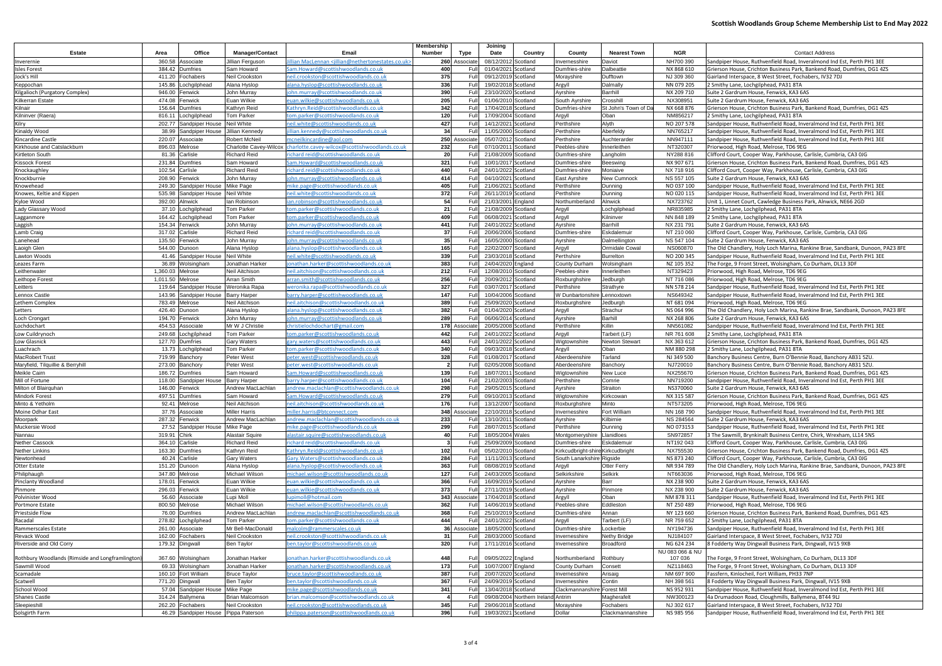## **Scottish Woodlands Group Scheme Membership List to End May 2022**

| <b>Estate</b>                                               | Office<br>Area                            | <b>Manager/Contact</b>        | Email                                                                             | Membership<br><b>Number</b> | Type              | Joining<br>Date                            | Country                            | County                            | <b>Nearest Town</b>           | <b>NGR</b>               | <b>Contact Address</b>                                                                                    |
|-------------------------------------------------------------|-------------------------------------------|-------------------------------|-----------------------------------------------------------------------------------|-----------------------------|-------------------|--------------------------------------------|------------------------------------|-----------------------------------|-------------------------------|--------------------------|-----------------------------------------------------------------------------------------------------------|
| Inverernie                                                  | 360.58 Associate                          | <b>Jillian Ferguson</b>       | llian MacLennan <iillian@nethertonestates.co.uk></iillian@nethertonestates.co.uk> |                             | 260 Associate     | 08/12/2012 Scotland                        |                                    | nvernesshire                      | Daviot                        | NH700 390                | Sandpiper House, Ruthvenfield Road, Inveralmond Ind Est, Perth PH1 3EE                                    |
| <b>Isles Forest</b>                                         | 384.42<br><b>Dumfries</b>                 | Sam Howard                    | Sam.Howard@scottishwoodlands.co.uk                                                | 400                         | Full              | 01/04/2021 Scotland                        |                                    | Dumfries-shire                    | Dalbeattie                    | NX 868 610               | Grierson House, Crichton Business Park, Bankend Road, Dumfries, DG1 42S                                   |
| Jock's Hill                                                 | 411.20<br>Fochabers                       | Neil Crookston                | neil.crookston@scottishwoodlands.co.uk                                            | 375                         | Full              | 09/12/2019 Scotland                        |                                    | Morayshire                        | Dufftown                      | NJ 309 360               | Gairland Interspace, 8 West Street, Fochabers, IV32 7DJ                                                   |
| Keppochan                                                   | 145.86<br>Lochgilphead                    | Alana Hyslop                  | alana.hyslop@scottishwoodlands.co.uk                                              | 336                         | Full              | 19/02/2018 Scotland                        |                                    | Argyll                            | Dalmally                      | NN 079 205               | 2 Smithy Lane, Lochgilphead, PA31 8TA                                                                     |
| Kilgalioch (Purgatory Complex)                              | 946.00 Fenwick                            | John Murray                   | ohn.murray@scottishwoodlands.co.uk                                                | 390                         | Full              | 23/10/2020 Scotland                        |                                    | Ayrshire                          | Barrhill                      | NX 209 710               | Suite 2 Gardrum House, Fenwick, KA3 6AS                                                                   |
| Kilkerran Estate                                            | 474.08 Fenwick                            | Euan Wilkie                   | euan.wilkie@scottishwoodlands.co.uk                                               | 205                         | Full              | 01/06/2010 Scotland                        |                                    | South Ayrshire                    | Crosshill                     | NX308951                 | Suite 2 Gardrum House, Fenwick, KA3 6AS                                                                   |
| Kilnair                                                     | 156.64 Dumfries                           | Kathryn Reid                  | Kathryn.Reid@scottishwoodlands.co.uk                                              | 342                         | Full              | 17/04/2018 Scotland                        |                                    | Dumfries-shire                    | St John's Town of Da          | NX 668 876               | Grierson House, Crichton Business Park, Bankend Road, Dumfries, DG1 42S                                   |
| Kilninver (Raera)                                           | 816.11<br>Lochgilphead                    | <b>Tom Parker</b>             | :om.parker@scottishwoodlands.co.uk                                                | 120                         | Full              | 17/09/2004 Scotland                        |                                    | Argyll                            | Oban                          | NM856217                 | 2 Smithy Lane, Lochgilphead, PA31 8TA                                                                     |
| Kilry                                                       | 202.77 Sandpiper House                    | <b>Neil White</b>             | neil.white@scottishwoodlands.co.uk                                                | 427                         | Full              | 14/12/2021 Scotland                        |                                    | Perthshire                        | Alyth                         | NO 207 578               | Sandpiper House, Ruthvenfield Road, Inveralmond Ind Est, Perth PH1 3EE                                    |
| Kinaldy Wood                                                | 38.99 Sandpiper House                     | Jillian Kennedy               | llian.kennedy@scottishwoodlands.co.uk                                             | 34                          | Full              | 11/05/2000 Scotland                        |                                    | Perthshire                        | Aberfeldy                     | NN765217                 | Sandpiper House, Ruthvenfield Road, Inveralmond Ind Est, Perth PH1 3EE                                    |
| Kincardine Castle                                           | 220.07<br>Associate                       | <b>Robert McNeil</b>          | ncneilkincardine@aol.com                                                          | 250                         | Associat          | 05/07/2012 Scotland                        |                                    | Perthshire                        | Auchterarde                   | NN947111                 | Sandpiper House, Ruthvenfield Road, Inveralmond Ind Est, Perth PH1 3EE                                    |
| Kirkhouse and Catslackburn                                  | 896.03 Melrose                            |                               | Charlotte Cavey-Wilcox charlotte.cavey-wilcox@scottishwoodlands.co.uk             | 232                         | Full              | 07/10/2011 Scotland                        |                                    | Peebles-shire                     | Innerleithen                  | NT320307                 | Priorwood, High Road, Melrose, TD6 9EG                                                                    |
| Kirtleton South                                             | 81.36 Carlisle                            | <b>Richard Reid</b>           | richard reid@scottishwoodlands.co.uk                                              | 20                          | Full              | 21/08/2009 Scotland                        |                                    | Dumfries-shire                    | Langholm                      | NY288 816                | Clifford Court, Cooper Way, Parkhouse, Carlisle, Cumbria, CA3 0JG                                         |
| <b>Kissock Forest</b>                                       | 231.84 Dumfries                           | Sam Howard                    | Sam.Howard@scottishwoodlands.co.uk                                                | 321                         | Full              | 10/01/2017 Scotland                        |                                    | Dumfries-shire                    | Beeswing                      | NX 907 671               | Grierson House, Crichton Business Park, Bankend Road, Dumfries, DG1 4ZS                                   |
| Knockaughley                                                | 102.54<br>Carlisle                        | <b>Richard Reid</b>           | ichard.reid@scottishwoodlands.co.uk                                               | 440                         | Full              | 24/01/2022 Scotland                        |                                    | Dumfries-shire                    | Moniaive                      | NX 718 916               | Clifford Court, Cooper Way, Parkhouse, Carlisle, Cumbria, CA3 0JG                                         |
| Knockburnie                                                 | 208.90<br>Fenwick                         | John Murray                   | ohn.murray@scottishwoodlands.co.uk                                                | 414                         | Full              | 04/10/2021 Scotland                        |                                    | East Ayrshire                     | New Cumnock                   | NS 557 105               | Suite 2 Gardrum House, Fenwick, KA3 6AS                                                                   |
| Knowehead                                                   | 249.30<br>Sandpiper House                 | <b>Mike Page</b>              | mike.page@scottishwoodlands.co.uk                                                 | 405                         | Full              | 21/06/2021 Scotland                        |                                    | Perthshire                        | Dunning                       | NO 037 100               | Sandpiper House, Ruthvenfield Road, Inveralmond Ind Est, Perth PH1 3EE                                    |
| Knowes, Keltie and Kippen                                   | 535.98<br>Sandpiper House                 | Neil White                    | neil.white@scottishwoodlands.co.uk                                                | 372                         | Full              | 26/11/2019 Scotland                        |                                    | Perthshire                        | Dunning                       | NO 020 115               | Sandpiper House, Ruthvenfield Road, Inveralmond Ind Est, Perth PH1 3EE                                    |
| Kyloe Wood                                                  | 392.00 Alnwick                            | lan Robinsor                  | an.robinson@scottishwoodlands.co.uk                                               | 54                          | Full              | 21/03/2001 England                         |                                    | Northumberland                    | Alnwick                       | NX723762                 | Unit 1, Linnet Court, Cawledge Business Park, Alnwick, NE66 2GD                                           |
| Lady Glassary Wood                                          | 37.10 Lochgilphead                        | <b>Tom Parker</b>             | :om.parker@scottishwoodlands.co.uk                                                | 21                          | Full              | 21/08/2009 Scotland                        |                                    | Argyll                            | Lochgilphead                  | NR835985                 | 2 Smithy Lane, Lochgilphead, PA31 8TA                                                                     |
| Lagganmore                                                  | 164.42<br>Lochgilphead                    | <b>Tom Parker</b>             | om.parker@scottishwoodlands.co.ul                                                 | 409                         | Full              | 06/08/2021 Scotland                        |                                    | Argyll                            | Kilninver                     | NN 848 189               | 2 Smithy Lane, Lochgilphead, PA31 8TA                                                                     |
| Laggish                                                     | 154.34 Fenwick                            | John Murray                   | ohn.murray@scottishwoodlands.co.u                                                 | 441                         | Full              | 24/01/2022 Scotland                        |                                    | Ayrshire                          | Barrhill                      | NX 231 791               | Suite 2 Gardrum House, Fenwick, KA3 6AS                                                                   |
| Lamb Craig                                                  | 317.02<br>Carlisle                        | <b>Richard Reid</b>           | ichard reid@scottishwoodlands.co.uk                                               | 37                          | Full              | 20/06/2006 Scotland                        |                                    | Dumfries-shire                    | Eskdalemuir                   | NT 210 060               | Clifford Court, Cooper Way, Parkhouse, Carlisle, Cumbria, CA3 0JG                                         |
| Lanehead                                                    | 135.50<br>Fenwick                         | John Murray                   | ohn.murray@scottishwoodlands.co.uk                                                | 35                          | Full              | 16/05/2000 Scotland                        |                                    | Ayrshire                          | Dalmellington                 | NS 547 104               | Suite 2 Gardrum House, Fenwick, KA3 6AS                                                                   |
| Laoigh Glen                                                 | 544.00<br>Dunoon                          | Alana Hyslop                  | alana.hyslop@scottishwoodlands.co.uk                                              | 165                         | Full              | 22/02/2007 Scotland                        |                                    | Argyll                            | Ormidale Cowal                | NS060870                 | The Old Chandlery, Holy Loch Marina, Rankine Brae, Sandbank, Dunoon, PA23 8FE                             |
| Lawton Woods                                                | 41.46 Sandpiper House                     | <b>Neil White</b>             | neil.white@scottishwoodlands.co.uk                                                | 339                         | Full              | 23/03/2018 Scotland                        |                                    | Perthshire                        | <b>Burrelton</b>              | NO 200 345               | Sandpiper House, Ruthvenfield Road, Inveralmond Ind Est, Perth PH1 3EE                                    |
| Leazes Farm                                                 | 36.89 Wolsingham                          | Jonathan Harker               | onathan.harker@scottishwoodlands.co.uk                                            | 383                         | Full              | 24/04/2020 England                         |                                    | County Durham                     | Wolsingham                    | NZ 105 352               | The Forge, 9 Front Street, Wolsingham, Co Durham, DL13 3DF                                                |
| Leithenwater                                                | 1,360.03 Melrose                          | Neil Aitchison                | neil.aitchison@scottishwoodlands.co.uk                                            | 212                         | Full              | 12/08/2010 Scotland                        |                                    | Peebles-shire                     | Innerleithen                  | NT329423                 | Priorwood, High Road, Melrose, TD6 9EG                                                                    |
| Leithope Forest                                             | 1,011.50 Melrose                          | Arran Smith                   | arran.smith@scottishwoodlands.co.ul                                               | 256                         | Full              | 20/09/2012 Scotland                        |                                    | Roxburghshire                     | Jedburgh                      | NT 716 086               | Priorwood, High Road, Melrose, TD6 9EG                                                                    |
| Leitters                                                    | 119.64<br>Sandpiper House                 | Weronika Rapa                 | weronika.rapa@scottishwoodlands.co.uk                                             | 327                         | Full              | 03/07/2017 Scotland                        |                                    | Perthshire                        | Strathyre                     | NN 578 214               | Sandpiper House, Ruthvenfield Road, Inveralmond Ind Est, Perth PH1 3EE                                    |
| Lennox Castle                                               | 143.96 Sandpiper House                    | <b>Barry Harper</b>           | barry.harper@scottishwoodlands.co.uk                                              | 147                         | Full              | 10/04/2006 Scotland                        |                                    | W Dunbartonshire                  | Lennoxtown                    | NS649342                 | Sandpiper House, Ruthvenfield Road, Inveralmond Ind Est, Perth PH1 3EE                                    |
| Lethem Complex                                              | 783.49 Melrose                            | Neil Aitchison                | neil.aitchison@scottishwoodlands.co.uk                                            | 389                         | Full              | 25/09/2020 Scotland                        |                                    | Roxburghshire                     | Jedburgh                      | NT 681 094               | Priorwood, High Road, Melrose, TD6 9EG                                                                    |
| Letters                                                     | 426.40 Dunoon                             | Alana Hyslop                  | ilana.hyslop@scottishwoodlands.co.uk                                              | 382                         | Full              | 01/04/2020 Scotland                        |                                    | Argyll                            | Strachur                      | NS 064 996               | The Old Chandlery, Holy Loch Marina, Rankine Brae, Sandbank, Dunoon, PA23 8FE                             |
| Loch Crongart                                               | 194.70 Fenwick                            | John Murray                   | john.murray@scottishwoodlands.co.uk                                               | 289                         | Full              | 06/06/2014 Scotland                        |                                    | Ayrshire                          | Barhill                       | NX 268 806               | Suite 2 Gardrum House, Fenwick, KA3 6AS                                                                   |
| Lochdochart                                                 | 454.53<br>Associate                       | Mr W J Christie<br>Tom Parker | christielochdochart@gmail.com                                                     | 178<br>442                  | Associate<br>Full | 20/05/2008 Scotland                        |                                    | Perthshire                        | Killin                        | NN561082                 | Sandpiper House, Ruthvenfield Road, Inveralmond Ind Est, Perth PH1 3EE                                    |
| Low Cuildrynoch                                             | 249.68<br>Lochgilphead<br>127.70 Dumfries |                               | om.parker@scottishwoodlands.co.uk                                                 |                             |                   | 24/01/2022 Scotland<br>24/01/2022 Scotland |                                    | Argyll                            | Tarbert (LF)                  | NR 761 608               | 2 Smithy Lane, Lochgilphead, PA31 8TA                                                                     |
| Low Glasnick                                                | 13.73 Lochgilphead                        | <b>Gary Waters</b>            | gary.waters@scottishwoodlands.co.uk                                               | 443<br>340                  | Full              | 09/03/2018 Scotland                        |                                    | Wigtownshire                      | <b>Newton Stewart</b><br>Oban | NX 363 612<br>NM 880 298 | Grierson House, Crichton Business Park, Bankend Road, Dumfries, DG1 4ZS                                   |
| Luachrach                                                   | 719.99 Banchory                           | Tom Parker                    | tom.parker@scottishwoodlands.co.ul<br>peter.west@scottishwoodlands.co.uk          | 328                         | Full              | 01/08/2017 Scotland                        |                                    | Argyll<br>Aberdeenshire           | Tarland                       | NJ 349 500               | 2 Smithy Lane, Lochgilphead, PA31 8TA<br>Banchory Business Centre, Burn O'Bennie Road, Banchory AB31 5ZU. |
| <b>MacRobert Trust</b><br>Maryfield, Tilquillie & Berryhill | 273.00 Banchory                           | Peter West<br>Peter West      | oeter.west@scottishwoodlands.co.uk                                                |                             | Full              | 02/05/2008 Scotland                        |                                    | Aberdeenshire                     | Banchory                      | NJ720010                 | Banchory Business Centre, Burn O'Bennie Road, Banchory AB31 5ZU.                                          |
| Meikle Cairn                                                | 186.72<br><b>Dumfries</b>                 | Sam Howard                    | Sam.Howard@scottishwoodlands.co.uk                                                | 139                         | Full              | 18/07/2011 Scotland                        |                                    | Wigtownshire                      | New Luce                      | NX255670                 | Grierson House, Crichton Business Park, Bankend Road, Dumfries, DG1 42S                                   |
| Mill of Fortune                                             | 118.00<br>Sandpiper House                 | <b>Barry Harper</b>           | parry.harper@scottishwoodlands.co.uk                                              | 104                         | Full              | 21/02/2003 Scotland                        |                                    | Perthshire                        | Comrie                        | NN719200                 | Sandpiper House, Ruthvenfield Road, Inveralmond Ind Est, Perth PH1 3EE                                    |
| Milton of Blairguhan                                        | 146.00 Fenwick                            | Andrew MacLachlan             | andrew.maclachlan@scottishwoodlands.co.uk                                         | 298                         |                   | Full 29/05/2015 Scotland                   |                                    | Ayrshire                          | Straiton                      | NS370060                 | Suite 2 Gardrum House, Fenwick, KA3 6AS                                                                   |
| Mindork Forest                                              | 497.51 Dumfries                           | Sam Howard                    | Sam.Howard@scottishwoodlands.co.uk                                                | 279                         |                   | Full 09/10/2013 Scotland                   |                                    | Wigtownshire                      | Kirkcowan                     | NX 315 587               | Grierson House, Crichton Business Park, Bankend Road, Dumfries, DG1 4ZS                                   |
| Minto & Yetholm                                             | 92.41 Melrose                             | Neil Aitchison                | neil.aitchison@scottishwoodlands.co.uk                                            | 176                         | Full              | 13/12/2007 Scotland                        |                                    | Roxburghshire                     | Minto                         | NT573205                 | Priorwood, High Road, Melrose, TD6 9EG                                                                    |
| Moine Odhar East                                            | 37.76 Associate                           | <b>Miller Harris</b>          | niller.harris@btconnect.com                                                       |                             | 348 Associate     | 22/10/2018 Scotland                        |                                    | Invernesshire                     | Fort William                  | NN 168 790               | Sandpiper House, Ruthvenfield Road, Inveralmond Ind Est, Perth PH1 3EE                                    |
| Moorpark                                                    | 287.32 Fenwick                            | Andrew MacLachlan             | andrew.maclachlan@scottishwoodlands.co.uk                                         | 233                         | Full              | 13/10/2011 Scotland                        |                                    | Ayrshire                          | Kilbirnie                     | NS 284564                | Suite 2 Gardrum House, Fenwick, KA3 6AS                                                                   |
| Muckersie Wood                                              | 27.52 Sandpiper House                     | Mike Page                     | mike.page@scottishwoodlands.co.uk                                                 | 299                         | Full              | 28/07/2015 Scotland                        |                                    | Perthshire                        | Dunning                       | NO 073153                | Sandpiper House, Ruthvenfield Road, Inveralmond Ind Est, Perth PH1 3EE                                    |
| Nannau                                                      | 319.91 Chirk                              | Alastair Squire               | dastair.squire@scottishwoodlands.co.uk                                            | 40                          | Full              | 18/05/2004 Wales                           |                                    | Montgomeryshire                   | Llanidloes                    | SN972857                 | 3 The Sawmill, Brynkinalt Business Centre, Chirk, Wrexham, LL14 5NS                                       |
| Nether Cassock                                              | 364.10 Carlisle                           | <b>Richard Reid</b>           | richard reid@scottishwoodlands.co.uk                                              |                             | Full              | 25/09/2009 Scotland                        |                                    | Dumfries-shire                    | Eskdalemuir                   | NT192043                 | Clifford Court, Cooper Way, Parkhouse, Carlisle, Cumbria, CA3 0JG                                         |
| Nether Linkins                                              | 163.30 Dumfries                           | Kathryn Reid                  | Kathryn.Reid@scottishwoodlands.co.uk                                              | 102                         | Full              | 05/02/2010 Scotland                        |                                    | Kirkcudbright-shire Kirkcudbright |                               | NX755530                 | Grierson House, Crichton Business Park, Bankend Road, Dumfries, DG1 4ZS                                   |
| Newtonhead                                                  | 40.24 Carlisle                            | <b>Gary Waters</b>            | Gary.Waters@scottishwoodlands.co.uk                                               | 284                         | Full              | 11/11/2013 Scotland                        |                                    | South Lanarkshire Rigside         |                               | NS 873 240               | Clifford Court, Cooper Way, Parkhouse, Carlisle, Cumbria, CA3 OJG                                         |
| Otter Estate                                                | 151.20 Dunoon                             | Alana Hyslop                  | alana.hyslop@scottishwoodlands.co.uk                                              | 363                         | Full              | 08/08/2019 Scotland                        |                                    | Argyll                            | <b>Otter Ferry</b>            | NR 934 789               | The Old Chandlery, Holy Loch Marina, Rankine Brae, Sandbank, Dunoon, PA23 8FE                             |
| Philiphaugh                                                 | 347.80 Melrose                            | Michael Wilson                | nichael.wilson@scottishwoodlands.co.uk                                            | 127                         | Full              | 24/03/2005 Scotland                        |                                    | Selkirkshire                      | <b>Selkirk</b>                | NT663036                 | Priorwood, High Road, Melrose, TD6 9EG                                                                    |
| <b>Pinclanty Woodland</b>                                   | 178.01 Fenwick                            | Euan Wilkie                   | euan.wilkie@scottishwoodlands.co.uk                                               | 366                         | Full              | 16/09/2019 Scotland                        |                                    | Ayrshire                          | Barr                          | NX 238 900               | Suite 2 Gardrum House, Fenwick, KA3 6AS                                                                   |
| Pinmore                                                     | 296.03 Fenwick                            | Euan Wilkie                   | <u>euan.wilkie@scottishwoodlands.co.uk</u>                                        | 373                         | Full              | 27/11/2019 Scotland                        |                                    | Ayrshire                          | Pinmore                       | NX 238 900               | Suite 2 Gardrum House, Fenwick, KA3 6AS                                                                   |
| Polvinister Wood                                            | 56.60 Associate                           | Lupi Moll                     | upimoll@hotmail.com                                                               |                             | 343 Associate     | 17/04/2018 Scotland                        |                                    | Argyll                            | Oban                          | NM 878 311               | Sandpiper House, Ruthvenfield Road, Inveralmond Ind Est, Perth PH1 3EE                                    |
| Portmore Estate                                             | 800.50 Melrose                            | Michael Wilson                | nichael.wilson@scottishwoodlands.co.uk                                            | 362                         | Full              | 14/06/2019 Scotland                        |                                    | Peebles-shire                     | Eddleston                     | NT 250 489               | Priorwood, High Road, Melrose, TD6 9EG                                                                    |
| Priestside Flow                                             | 76.00 Dumfries                            | Andrew MacLachlan             | andrew.maclachlan@scottishwoodlands.co.uk                                         | 368                         | Full              | 25/10/2019 Scotland                        |                                    | Dumfries-shire                    | Annan                         | NY 123 660               | Grierson House, Crichton Business Park, Bankend Road, Dumfries, DG1 4ZS                                   |
| Racadal                                                     | 278.82 Lochgilphead                       | <b>Tom Parker</b>             | <u>om.parker@scottishwoodlands.co.uk</u>                                          | 444                         | Full              | 24/01/2022 Scotland                        |                                    | Argyll                            | Tarbert (LF)                  | NR 759 652               | 2 Smithy Lane, Lochgilphead, PA31 8TA                                                                     |
| Rammerscales Estate                                         | 261.00 Associate                          | Mr Bell-MacDonald             | nalcolm@rammerscales.co.uk                                                        |                             | 36 Associat       | 18/05/2000 Scotland                        |                                    | Dumfries-shire                    | Lockerbie                     | NY194736                 | Sandpiper House, Ruthvenfield Road, Inveralmond Ind Est, Perth PH1 3EE                                    |
| Revack Wood                                                 | 162.00 Fochabers                          | Neil Crookston                | neil.crookston@scottishwoodlands.co.uk                                            | 31                          |                   | 28/03/2000 Scotland                        |                                    | Invernesshire                     | <b>Nethy Bridge</b>           | NJ184107                 | Gairland Interspace, 8 West Street, Fochabers, IV32 7DJ                                                   |
| Riverside and Old Corry                                     | 179.32 Dingwall                           | Ben Taylor                    | oen.taylor@scottishwoodlands.co.uk                                                | 320                         | Full              | 17/11/2016 Scotland                        |                                    | Invernesshire                     | <b>Broadford</b>              | NG 624 234               | 8 Fodderty Way Dingwall Business Park, Dingwall, IV15 9XB                                                 |
|                                                             |                                           |                               |                                                                                   |                             |                   |                                            |                                    |                                   |                               | NU 083 066 & NU          |                                                                                                           |
| Rothbury Woodlands (Rimside and Longframlington             | 367.60 Wolsingham                         | Jonathan Harker               | onathan.harker@scottishwoodlands.co.uk                                            | 448                         | Full              | 09/05/2022 England                         |                                    | Northumberland                    | Rothbury                      | 107 036                  | The Forge, 9 Front Street, Wolsingham, Co Durham, DL13 3DF                                                |
| Sawmill Wood                                                | 69.33 Wolsingham                          | Jonathan Harker               | onathan.harker@scottishwoodlands.co.uk                                            | 173                         | Full              | 10/07/2007 England                         |                                    | County Durham                     | Consett                       | NZ118463                 | The Forge, 9 Front Street, Wolsingham, Co Durham, DL13 3DF                                                |
| Scamadale                                                   | 160.10 Fort William                       | <b>Bruce Taylor</b>           | oruce.taylor@scottishwoodlands.co.uk                                              | 387                         | Full              | 20/07/2020 Scotland                        |                                    | Invernesshire                     | Arisaig                       | NM 697 900               | Fassfern, Kinlocheil, Fort William, PH33 7NP                                                              |
| Scatwell                                                    | 771.20 Dingwall                           | Ben Taylor                    | oen.taylor@scottishwoodlands.co.uk                                                | 367                         | Full              | 24/09/2019 Scotland                        |                                    | Invernesshire                     | Contin                        | NH 398 561               | 8 Fodderty Way Dingwall Business Park, Dingwall, IV15 9XB                                                 |
| School Wood                                                 | 57.04 Sandpiper House                     | Mike Page                     | nike.page@scottishwoodlands.co.uk                                                 | 341                         | Full              | 13/04/2018 Scotland                        |                                    | Clackmannanshire                  | <b>Forest Mill</b>            | NS 952 931               | Sandpiper House, Ruthvenfield Road, Inveralmond Ind Est, Perth PH1 3EE                                    |
| Shanes Castle                                               | 314.24 Ballymena                          | <b>Brian Malcomson</b>        | orian.malcomson@scottishwoodlands.co.uk                                           |                             | Full              |                                            | 09/08/2004 Northern Ireland Antrim |                                   | Magherafelt                   | NW300123                 | 4a Drumadoon Road, Cloughmills, Ballymena, BT44 9LJ                                                       |
| Sleepieshill                                                | 262.20 Fochabers                          | Neil Crookston                | neil.crookston@scottishwoodlands.co.uk                                            | 345                         | Full              | 29/06/2018 Scotland                        |                                    | Morayshire                        | Fochabers                     | NJ 302 617               | Gairland Interspace, 8 West Street, Fochabers, IV32 7DJ                                                   |
| Solsgirth Farm                                              | 46.29 Sandpiper House Pippa Paterson      |                               | ohilippa.paterson@scottishwoodlands.co.uk                                         | 396                         |                   | Full 19/03/2021 Scotland                   |                                    | Dollar                            | Clackmannanshire              | NS 985 956               | Sandpiper House, Ruthvenfield Road, Inveralmond Ind Est, Perth PH1 3EE                                    |